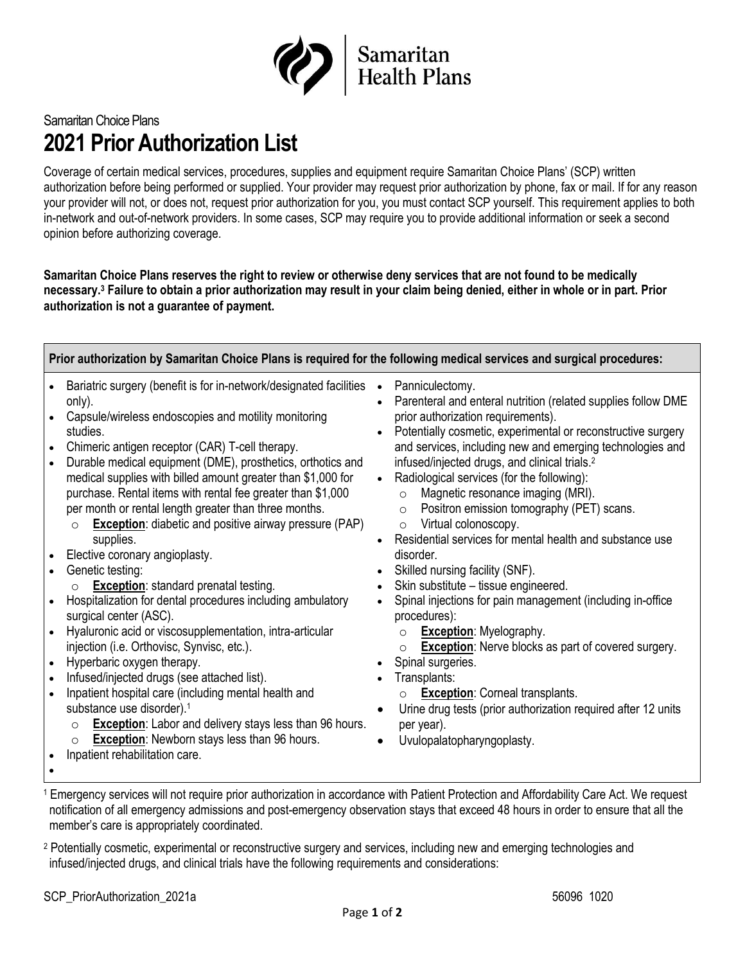

## Samaritan Choice Plans **2021 Prior Authorization List**

Coverage of certain medical services, procedures, supplies and equipment require Samaritan Choice Plans' (SCP) written authorization before being performed or supplied. Your provider may request prior authorization by phone, fax or mail. If for any reason your provider will not, or does not, request prior authorization for you, you must contact SCP yourself. This requirement applies to both in-network and out-of-network providers. In some cases, SCP may require you to provide additional information or seek a second opinion before authorizing coverage.

**Samaritan Choice Plans reserves the right to review or otherwise deny services that are not found to be medically necessary. <sup>3</sup> Failure to obtain a prior authorization may result in your claim being denied, either in whole or in part. Prior authorization is not a guarantee of payment.**

**Prior authorization by Samaritan Choice Plans is required for the following medical services and surgical procedures:**

- Bariatric surgery (benefit is for in-network/designated facilities only).
- Capsule/wireless endoscopies and motility monitoring studies.
- Chimeric antigen receptor (CAR) T-cell therapy.
- Durable medical equipment (DME), prosthetics, orthotics and medical supplies with billed amount greater than \$1,000 for purchase. Rental items with rental fee greater than \$1,000 per month or rental length greater than three months.
	- o **Exception**: diabetic and positive airway pressure (PAP) supplies.
- Elective coronary angioplasty.
- Genetic testing:
	- o **Exception**: standard prenatal testing.
- Hospitalization for dental procedures including ambulatory surgical center (ASC).
- Hyaluronic acid or viscosupplementation, intra-articular injection (i.e. Orthovisc, Synvisc, etc.).
- Hyperbaric oxygen therapy.
- Infused/injected drugs (see attached list).
- Inpatient hospital care (including mental health and substance use disorder). 1
	- o **Exception**: Labor and delivery stays less than 96 hours.
	- o **Exception**: Newborn stays less than 96 hours.
- Inpatient rehabilitation care.
- Panniculectomy.
- Parenteral and enteral nutrition (related supplies follow DME prior authorization requirements).
- Potentially cosmetic, experimental or reconstructive surgery and services, including new and emerging technologies and infused/injected drugs, and clinical trials. 2
- Radiological services (for the following):
	- o Magnetic resonance imaging (MRI).
	- o Positron emission tomography (PET) scans.
	- o Virtual colonoscopy.
- Residential services for mental health and substance use disorder.
- Skilled nursing facility (SNF).
- Skin substitute tissue engineered.
- Spinal injections for pain management (including in-office procedures):
	- o **Exception**: Myelography.
	- o **Exception**: Nerve blocks as part of covered surgery.
- Spinal surgeries.
- Transplants:
	- o **Exception**: Corneal transplants.
- Urine drug tests (prior authorization required after 12 units per year).
- Uvulopalatopharyngoplasty.

- •
- <sup>1</sup> Emergency services will not require prior authorization in accordance with Patient Protection and Affordability Care Act. We request notification of all emergency admissions and post-emergency observation stays that exceed 48 hours in order to ensure that all the member's care is appropriately coordinated.
- <sup>2</sup> Potentially cosmetic, experimental or reconstructive surgery and services, including new and emerging technologies and infused/injected drugs, and clinical trials have the following requirements and considerations: